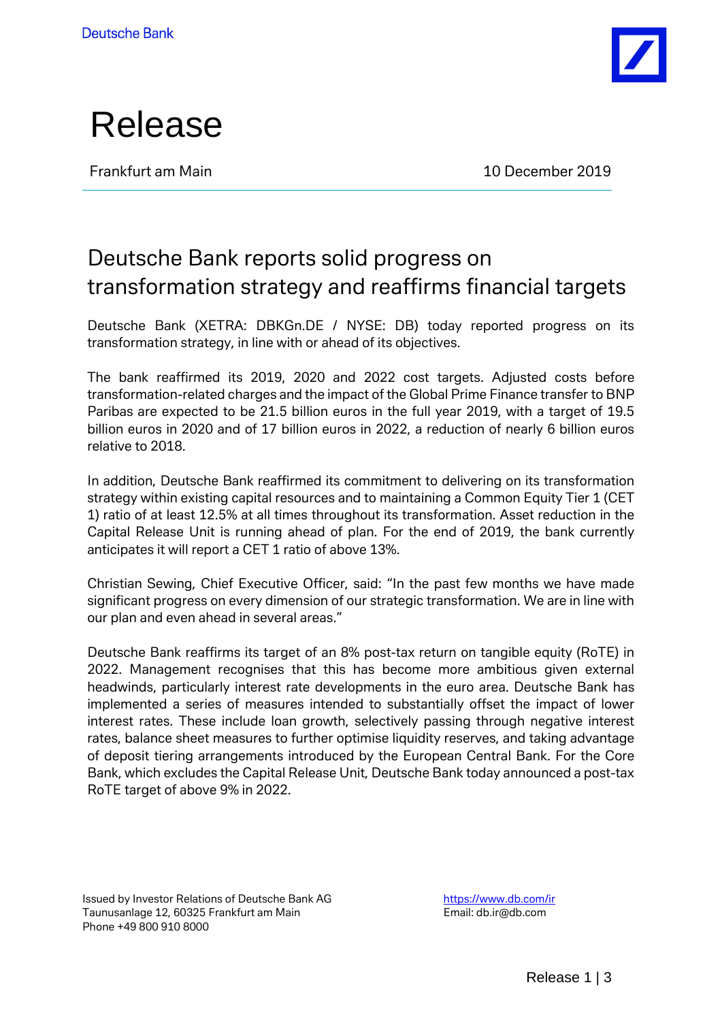



Frankfurt am Main **10 December 2019** 

## Deutsche Bank reports solid progress on transformation strategy and reaffirms financial targets

Deutsche Bank (XETRA: DBKGn.DE / NYSE: DB) today reported progress on its transformation strategy, in line with or ahead of its objectives.

The bank reaffirmed its 2019, 2020 and 2022 cost targets. Adjusted costs before transformation-related charges and the impact of the Global Prime Finance transfer to BNP Paribas are expected to be 21.5 billion euros in the full year 2019, with a target of 19.5 billion euros in 2020 and of 17 billion euros in 2022, a reduction of nearly 6 billion euros relative to 2018.

In addition, Deutsche Bank reaffirmed its commitment to delivering on its transformation strategy within existing capital resources and to maintaining a Common Equity Tier 1 (CET 1) ratio of at least 12.5% at all times throughout its transformation. Asset reduction in the Capital Release Unit is running ahead of plan. For the end of 2019, the bank currently anticipates it will report a CET 1 ratio of above 13%.

Christian Sewing, Chief Executive Officer, said: "In the past few months we have made significant progress on every dimension of our strategic transformation. We are in line with our plan and even ahead in several areas."

Deutsche Bank reaffirms its target of an 8% post-tax return on tangible equity (RoTE) in 2022. Management recognises that this has become more ambitious given external headwinds, particularly interest rate developments in the euro area. Deutsche Bank has implemented a series of measures intended to substantially offset the impact of lower interest rates. These include loan growth, selectively passing through negative interest rates, balance sheet measures to further optimise liquidity reserves, and taking advantage of deposit tiering arrangements introduced by the European Central Bank. For the Core Bank, which excludes the Capital Release Unit, Deutsche Bank today announced a post-tax RoTE target of above 9% in 2022.

Issued by Investor Relations of Deutsche Bank AG Taunusanlage 12, 60325 Frankfurt am Main Phone +49 800 910 8000

https://www.db.com/ir Email: db.ir@db.com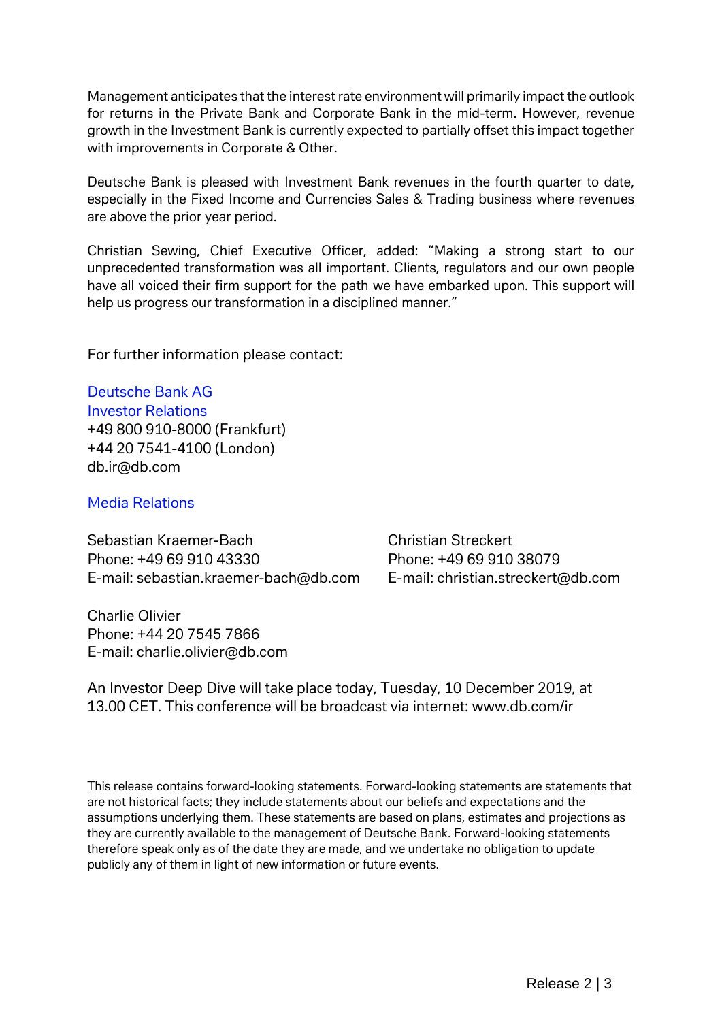Management anticipates that the interest rate environment will primarily impact the outlook for returns in the Private Bank and Corporate Bank in the mid-term. However, revenue growth in the Investment Bank is currently expected to partially offset this impact together with improvements in Corporate & Other.

Deutsche Bank is pleased with Investment Bank revenues in the fourth quarter to date, especially in the Fixed Income and Currencies Sales & Trading business where revenues are above the prior year period.

Christian Sewing, Chief Executive Officer, added: "Making a strong start to our unprecedented transformation was all important. Clients, regulators and our own people have all voiced their firm support for the path we have embarked upon. This support will help us progress our transformation in a disciplined manner."

For further information please contact:

Deutsche Bank AG Investor Relations +49 800 910-8000 (Frankfurt) +44 20 7541-4100 (London) db.ir@db.com

Media Relations

Sebastian Kraemer-Bach Christian Streckert Phone: +49 69 910 43330 Phone: +49 69 910 38079 E-mail: [sebastian.kraemer-bach@db.com](mailto:sebastian.kraemer-bach@db.com) E-mail: [christian.streckert@db.com](mailto:christian.streckert@db.com)

Charlie Olivier Phone: +44 20 7545 7866 E-mail: charlie.olivier@db.com

An Investor Deep Dive will take place today, Tuesday, 10 December 2019, at 13.00 CET. This conference will be broadcast via internet: [www.db.com/i](http://www.db.com/)r

This release contains forward-looking statements. Forward-looking statements are statements that are not historical facts; they include statements about our beliefs and expectations and the assumptions underlying them. These statements are based on plans, estimates and projections as they are currently available to the management of Deutsche Bank. Forward-looking statements therefore speak only as of the date they are made, and we undertake no obligation to update publicly any of them in light of new information or future events.